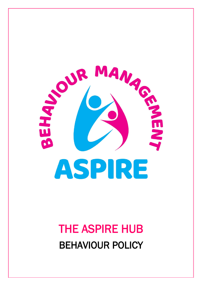

# THE ASPIRE HUB BEHAVIOUR POLICY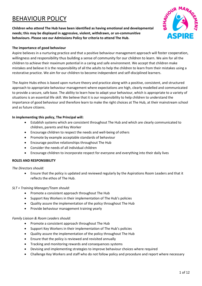# BEHAVIOUR POLICY

**Children who attend The Hub have been identified as having emotional and developmental needs; this may be displayed in aggressive, violent, withdrawn, or un-communitive behaviours. Please see our Admissions Policy for criteria to attend The Hub.** 



#### **The importance of good behaviour**

Aspire believes in a nurturing practice and that a positive behaviour management approach will foster cooperation, willingness and responsibility thus building a sense of community for our children to learn. We aim for all the children to achieve their maximum potential in a caring and safe environment. We accept that children make mistakes and believe it is the responsibility of all the adults to help the children to learn from their mistakes using a restorative practice. We aim for our children to become independent and self-disciplined learners.

The Aspire Hubs ethos is based upon nurture theory and practice along with a positive, consistent, and structured approach to appropriate behaviour management where expectations are high, clearly modelled and communicated to provide a secure, safe base. The ability to learn how to adapt your behaviour, which is appropriate to a variety of situations is an essential life skill. We believe that it is our responsibility to help children to understand the importance of good behaviour and therefore learn to make the right choices at The Hub, at their mainstream school and as future citizens.

#### **In implementing this policy, The Principal will:**

- Establish systems which are consistent throughout The Hub and which are clearly communicated to children, parents and Key Worker
- Encourage children to respect the needs and well-being of others
- Promote by example acceptable standards of behaviour
- Encourage positive relationships throughout The Hub
- Consider the needs of all individual children
- Encourage children to incorporate respect for everyone and everything into their daily lives

#### **ROLES AND RESPONSIBILITY**

*The Directors should:*

• Ensure that the policy is updated and reviewed regularly by the Aspirations Room Leaders and that it reflects the ethos of The Hub.

#### *SLT + Training Manager/Team should:*

- Promote a consistent approach throughout The Hub
- Support Key Workers in their implementation of The Hub's policies
- Quality assure the implementation of the policy throughout The Hub
- Provide behaviour management training yearly

#### *Family Liaison & Room Leaders should:*

- Promote a consistent approach throughout The Hub
- Support Key Workers in their implementation of The Hub's policies
- Quality assure the implementation of the policy throughout The Hub
- Ensure that the policy is reviewed and revisited annually
- Tracking and monitoring rewards and consequences systems
- Devising and implementing strategies to improve behaviour choices where required
- Challenge Key Workers and staff who do not follow policy and procedure and report where necessary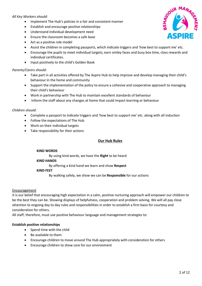# *All Key Workers should:*

- Implement The Hub's policies in a fair and consistent manner
- Establish and encourage positive relationships
- Understand individual development need
- Ensure the classroom becomes a safe base
- Act as a positive role model
- Assist the children in completing passports, which indicate triggers and 'how best to support me' etc.
- Encourage the pupils to meet individual targets; earn smiley faces and busy box time, class rewards and individual certificates.
- Input positively to the child's Golden Book

# *Parents/Carers should:*

- Take part in all activities offered by The Aspire Hub to help improve and develop managing their child's behaviour in the home and community
- Support the implementation of the policy to ensure a cohesive and cooperative approach to managing their child's behaviour
- Work in partnership with The Hub to maintain excellent standards of behaviour
- Inform the staff about any changes at home that could impact learning or behaviour

# *Children should:*

- Complete a passport to indicate triggers and 'how best to support me' etc. along with all induction
- Follow the expectations of The Hub
- Work on their individual targets
- Take responsibility for their actions

# **Our Hub Rules**

#### **KIND WORDS**

By using kind words, we have the **Right** to be heard

#### **KIND HANDS**

By offering a kind hand we learn and show **Respect** 

# **KIND FEET**

By walking safely, we show we can be **Responsible** for our actions

# Encouragement

It is our belief that encouraging high expectation in a calm, positive nurturing approach will empower our children to be the best they can be. Showing displays of helpfulness, cooperation and problem solving. We will all pay close attention to ongoing day to day rules and responsibilities in order to establish a firm basis for courtesy and consideration for others.

All staff, therefore, must use positive behaviour language and management strategies to:

# **Establish positive relationships**

- Spend time with the child
- Be available to them
- Encourage children to move around The Hub appropriately with consideration for others
- Encourage children to show care for our environment

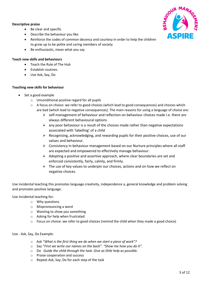# **Descriptive praise**



- Be clear and specific
- Describe the behaviour you like
- Reinforce the codes of common decency and courtesy in order to help the children to grow up to be polite and caring members of society
- Be enthusiastic, mean what you say

# **Teach new skills and behaviours**

- Teach the Rule of The Hub
- Establish routines
- Use Ask, Say, Do

# **Teaching new skills for behaviour**

- Set a good example
	- o Unconditional positive regard for all pupils
	- $\circ$  A focus on choice: we refer to good choices (which lead to good consequences) and choices which are bad (which lead to negative consequences). The main reasons for using a language of choice are:
		- $\triangleright$  self-management of behaviour and reflection on behaviour choices made i.e. there are always different behavioural options
		- $\triangleright$  any poor behaviour is a result of the choices made rather than negative expectations associated with 'labelling' of a child
		- $\triangleright$  Recognising, acknowledging, and rewarding pupils for their positive choices, use of our values and behaviour.
		- $\triangleright$  Consistency in behaviour management based on our Nurture principles where all staff are expected and empowered to effectively manage behaviour.
		- $\triangleright$  Adopting a positive and assertive approach, where clear boundaries are set and enforced consistently, fairly, calmly, and firmly.
		- $\triangleright$  The use of key values to underpin our choices, actions and on how we reflect on negative choices.

Use incidental teaching this promotes language creativity, independence a, general knowledge and problem solving and promotes positive language.

Use Incidental teaching for:

- o Why questions
- o Mispronouncing a word
- o Wanting to show you something
- o Asking for help when frustrated
- $\circ$  Focus on choice: we refer to good choices (remind the child when they made a good choice)

Use - Ask, Say, Do Example:

- o Ask "*What is the first thing we do when we start a piece of work"?*
- o Say "*First we write our names on the back". "Show me how you do it".*
- o Do *Guide the child through the task. Give as little help as possible.*
- o Praise cooperation and success
- o Repeat Ask, Say, Do for each step of the task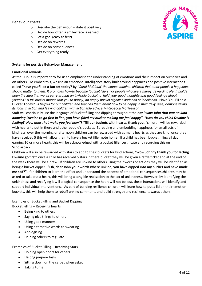# Behaviour charts

- $\circ$  Describe the behaviour state it positively
- o Decide how often a smiley face is earned
- o Set a goal (easy at first)
- o Decide on rewards
- o Decide on consequences
- o Get everything ready

#### **Systems for positive Behaviour Management**

#### **Emotional rewards**

At the Hub, it is important to for us to emphasise the understanding of emotions and their impact on ourselves and on others. To embed this, we use an emotional intelligence story built around happiness and positive interactions called **"have you filled a Bucket today? by** *"Carol McCloud' the stories teaches children that other people's happiness should matter to them. It promotes how-to become 'bucket fillers,' or people who live a happy, rewarding life. It builds upon the idea that we all carry around an invisible bucket to 'hold your good thoughts and good feelings about yourself.' A full bucket means that you're happy; an empty bucket signifies sadness or loneliness.* 'Have You Filled a Bucket Today?' *is helpful for our children and teaches them about how to be happy in their daily lives, demonstrating its tools in action and leaving children with actionable advice."*– Rebecca Montressor,

Staff will continually use the language of Bucket filling and dipping throughout the day **"***wow John that was so kind allowing Dwaine to go first in line, you have filled my bucket making me feel happy". "How do you think Dwaine is feeling? How does that make you feel now"?* **"fill our buckets with hearts, thank you. "**children will be rewarded with hearts to put in there and other people's buckets. Spreading and embedding happiness for small acts of kindness. over the morning or afternoon children can be rewarded with as many hearts as they are kind. once they have received 5 this will allow them to have a bucket filler note home.If a child has been bucket filling all day earning 10 or more hearts this will be acknowledged with a bucket filler certificate and recording this on Scholarpack.

Children will also be rewarded with stars to add to their buckets for kind actions, "**wow Johnny thank you for letting Dwaine go first"** once a child has received 5 stars in there bucket they will be given a raffle ticket and at the end of the week there will be a draw.If children are unkind to others using their words or actions they will be identified as being a bucket dipper. **"Oh, dear John your words where unkind, you have dipped into my bucket and have made me sad?".** for children to learn the effect and understand the concept of emotional consequences **c**hildren may be asked to take out a heart, this will bring a tangible realisation to the act of unkindness. However, by identifying the unkindness and rectifying it will a logical consequence the heart will not be lost, these interactions will identify and support individual interventions.As part of building resilience children will learn how to put a lid on their emotion buckets, this will help them to rebuff unkind comments and build strength and resilience towards others.

Examples of Bucket Filling and Bucket Dipping Bucket Filling – Receiving hearts

- Being kind to others
- Saying nice things to others
- Using good manners
- Using alternative words to swearing
- Apologising
- Helping others to regulate

Examples of Bucket Filling – Receiving Stars

- Holding open doors for others
- Helpng prepare tasks
- Sitting down on the carpet when asked
- Taking turns

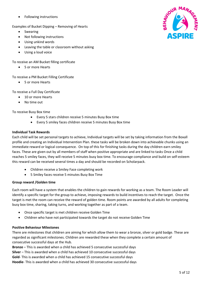• Following instructions

Examples of Bucket Dipping – Removing of Hearts

- Swearing
- Not following instructions
- Using unkind words
- Leaving the table or classroom without asking
- Using a loud voice

To receive an AM Bucket filling certificate

• 5 or more Hearts

To receive a PM Bucket Filling Certificate

• 5 or more Hearts

To receive a Full Day Certificate

- 10 or more Hearts
- No time out

To receive Busy Box time

- Every 5 stars children receive 5 minutes Busy Box time
- Every 5 smiley faces children receive 5 minutes Busy Box time

#### **Individual Task Rewards**

Each child will be set personal targets to achieve, Individual targets will be set by taking information from the Boxall profile and creating an Individual Intervention Plan. these tasks will be broken down into achievable chunks using an immediate reward or logical consequence. On top of this for finishing tasks during the day children earn smiley faces. These are given out by all members of staff when positive appropriate and are linked to tasks Once a child reaches 5 smiley faces, they will receive 5 minutes busy box time. To encourage compliance and build on self-esteem this reward can be received several times a day and should be recorded on Scholarpack.

- Children receive a Smiley Face completing work
- 5 Smiley faces receive 5 minutes Busy Box Time

#### **Group reward /Golden time**

Each room will have a system that enables the children to gain rewards for working as a team. The Room Leader will identify a specific target for the group to achieve, imposing rewards to build incentives to reach the target. Once the target is met the room can receive the reward of golden time. Room points are awarded by all adults for completing busy box time, sharing, taking turns, and working together as part of a team.

- Once specific target is met children receive Golden Time
- Children who have not participated towards the target do not receive Golden Time

#### **Positive Behaviour Milestones**

There are milestones that children are aiming for which allow them to wear a bronze, silver or gold badge. These are regarded as significant milestones. Children are rewarded these when they complete a certain amount of consecutive successful days at the Hub.

**Bronze** – This is awarded when a child has achieved 5 consecutive successful days **Silver** – This is awarded when a child has achieved 10 consecutive successful days **Gold**- This is awarded when a child has achieved 15 consecutive successful days **Hoodie**- This is awarded when a child has achieved 30 consecutive successful days

5 of 12

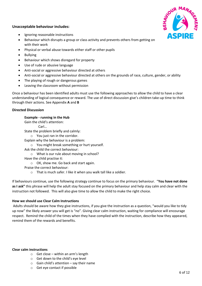# **Unacceptable behaviour includes:**



- Ignoring reasonable instructions
- Behaviour which disrupts a group or class activity and prevents others from getting on with their work
- Physical or verbal abuse towards either staff or other pupils
- Bullying
- Behaviour which shows disregard for property
- Use of rude or abusive language
- Anti-social or aggressive behaviour directed at others
- Anti-social or aggressive behaviour directed at others on the grounds of race, culture, gender, or ability
- The playing of rough or dangerous games
- Leaving the classroom without permission

Once a behaviour has been identified adults must use the following approaches to allow the child to have a clear understanding of logical consequence or reward. The use of direct discussion give's children take-up time to think through their actions. See Appendix **A** and **B**

# **Directed Discussion**

**Example - running in the Hub** 

Gain the child's attention:

Carl…

State the problem briefly and calmly:

o You just ran in the corridor.

Explain why the behaviour is a problem:

- o You might break something or hurt yourself.
- Ask the child the correct behaviour:
	- o What is our rule about moving in school?
- Have the child practise it:
	- o OK, show me. Go back and start again.
- Praise the correct behaviour:
	- o That is much safer. I like it when you walk tall like a soldier.

If behaviours continue, use the following strategy continue to focus on the primary behaviour. "**You have not done as I ask"** this phrase will help the adult stay focused on the primary behaviour and help stay calm and clear with the instruction not followed. This will also give time to allow the child to make the right choice.

# **How we should use Clear Calm Instructions**

Adults should be aware how they give instructions, if you give the instruction as a question, "would you like to tidy up now" the likely answer you will get is "no". Giving clear calm instruction, waiting for compliance will encourage respect. Remind the child of the times when they have complied with the instruction, describe how they appeared, remind them of the rewards and benefits.

#### **Clear calm instructions**

- $\circ$  Get close within an arm's length
- o Get down to the child's eye level
- $\circ$  Gain child's attention say their name
- o Get eye contact if possible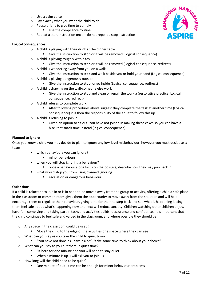- o Use a calm voice
- o Say exactly what you want the child to do
- o Pause briefly to give time to comply
	- Use the compliance routine
- o Repeat a start instruction once do not repeat a stop instruction

#### **Logical consequences**

- o A child is playing with their drink at the dinner table
	- Give the instruction to **stop** or it will be removed (Logical consequence)
- $\circ$  A child is playing roughly with a toy
	- Give the instruction to **stop** or it will be removed (Logical consequence, redirect)
- o A child is wandering away from you on a walk
	- Give the instruction to **stop** and walk beside you or hold your hand (Logical consequence)
- o A child is playing dangerously outside
	- Give the instruction to **stop,** or go inside (Logical consequence, redirect)
- o A child is drawing on the wall/someone else work
	- Give the instruction to **stop** and clean or repair the work a (restorative practice, Logical consequence, redirect)
- o A child refuses to complete work
	- After following procedures above suggest they complete the task at another time (Logical consequence) it is then the responsibility of the adult to follow this up.
- $\circ$  A child is refusing to join in
	- Given an option to sit out. You have not joined in making these cakes so you can have a biscuit at snack time instead (logical consequence)

# **Planned to ignore**

Once you know a child you may decide to plan to ignore any low-level misbehaviour, however you must decide as a team

- **which behaviours you can ignore?** 
	- **minor behaviours**
- when you will stop ignoring a behaviour?
	- **•** once a behaviour stops focus on the positive, describe how they may join back in
- **•** what would stop you from using planned ignoring
	- **EXEC** escalation or dangerous behaviour

# **Quiet time**

If a child is reluctant to join in or is in need to be moved away from the group or activity, offering a child a safe place in the classroom or common room gives them the opportunity to move away from the situation and will help encourage them to regulate their behaviour, giving time for them to step back and see what is happening letting them feel safe about what's happening now and next will reduce anxiety. Children watching other children enjoy, have fun, complying and taking part in tasks and activities builds reassurance and confidence. It is important that the child continues to feel safe and valued in the classroom, and where possible they should be

- o Any space in the classroom could be used?
	- **Move the child to the edge of the activities or a space where they can see**
- o What can you say as you take the child to quiet time?
	- "You have not done as I have asked", "take some time to think about your choice"
- o What can you say as you put them in quiet time?
	- Sit here for one minute and you will need to stay quiet
	- **When a minute is up, I will ask you to join us**
	- How long will the child need to be quiet?
		- One minute of quite time can be enough for minor behaviour problems

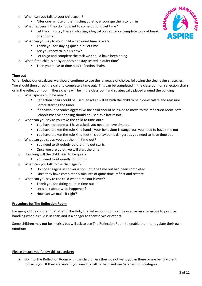- o When can you talk to your child again?
	- **EXTER** After one minute of them sitting quietly, encourage them to join in
- o What happens if they do not want to come out of quiet time?
	- **EXECT** Let the child stay there (Enforcing a logical consequence complete work at break or at home)
- o What can you say to your child when quiet time is over?
	- **Thank you for staying quiet in quiet time**
	- Are you ready to join us now?
	- Let us go and complete the task we should have been doing
- o What if the child is noisy or does not stay seated in quiet time?
	- **Then you move to time out/ reflection chairs**

# **Time out**

When behaviour escalates, we should continue to use the language of choice, following the clear calm strategies. You should then direct the child to complete a time out. This can be completed in the classroom on reflection chairs or in the reflection room. These chairs will be in the classroom and strategically placed around the building

- o What space could be used?
	- Reflection chairs could be used, an adult will sit with the child to help de-escalate and reassure. Before starting the timer
	- **If behaviour becomes aggressive the child should be asked to move to the reflection room. Safe** Schools Positive handling should be used as a last resort.
- What can you say as you take the child to time-out?
	- You have not done as I have asked, you need to have time out
	- You have broken the rule Kind hands, your behaviour is dangerous you need to have time out
	- You have broken the rule Kind feet this behaviour is dangerous you need to have time out
- o What can you say as you put them in time-out?
	- You need to sit quietly before time out starts
	- **•** Once you are quiet, we will start the timer
- o How long will the child need to be quiet?
	- You need to sit quietly for 5 mins
- o When can you talk to the child again?
	- Do not engaging in conversation until the time out had been completed
	- **•** Once they have completed 5 minutes of quite time, reflect and restore
- What can you say to the child when time out is over?
	- **Thank you for sitting quiet in time out**
	- **E** Let's talk about what happened?
	- How can we make it right?

# **Procedure for The Reflection Room**

For many of the children that attend The Hub, The Reflection Room can be used as an alternative to positive handling when a child is in crisis and is a danger to themselves or others.

Some children may not be in crisis but will ask to use The Reflection Room to enable them to regulate their own emotions.

# Please ensure you follow this procedure:

 $\triangleright$  Go into The Reflection Room with the child unless they do not want you in there or are being violent towards you. If they are violent you need to call for help and use Safer school strategies.

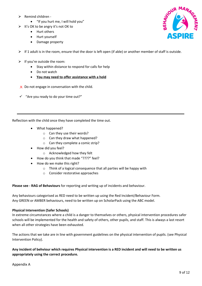- $\triangleright$  Remind children -
	- "If you hurt me, I will hold you"
- $\triangleright$  It's OK to be angry it's not OK to
	- Hurt others
	- Hurt yourself
	- Damage property
- $\triangleright$  If 1 adult is in the room, ensure that the door is left open (if able) or another member of staff is outside.
- $\triangleright$  If you're outside the room:
	- Stay within distance to respond for calls for help
	- Do not watch
	- **You may need to offer assistance with a hold**
- $\times$  Do not engage in conversation with the child.
- $\checkmark$  "Are you ready to do your time out?"

Reflection with the child once they have completed the time out.

- What happened?
	- o Can they use their words?
	- o Can they draw what happened?
	- o Can they complete a comic strip?
- How did you feel?
	- o Acknowledged how they felt
- How do you think that made "????" feel?
- How do we make this right?
	- o Think of a logical consequence that all parties will be happy with
	- o Consider restorative approaches

**Please see - RAG of Behaviours** for reporting and writing up of incidents and behaviour.

Any behaviours categorised as RED need to be written up using the Red Incident/Behaviour Form. Any GREEN or AMBER behaviours, need to be written up on ScholarPack using the ABC model.

# **Physical Intervention (Safer Schools)**

In extreme circumstances where a child is a danger to themselves or others, physical intervention procedures safer schools will be implemented for the health and safety of others, other pupils, and staff. This is always a last resort when all other strategies have been exhausted.

The actions that we take are in line with government guidelines on the physical intervention of pupils. (see Physical Intervention Policy).

# **Any incident of behviour which requires Physical intervention is a RED incident and will need to be written us appropriately using the correct procedure.**

Appendix A

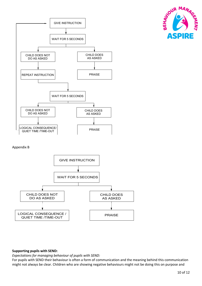



#### Appendix B



# **Supporting pupils with SEND:**

*Expectations for managing behaviour of pupils with SEND:* 

For pupils with SEND their behaviour is often a form of communication and the meaning behind this communication might not always be clear. Children who are showing negative behaviours might not be doing this on purpose and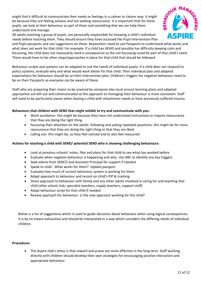might find it difficult to communicate their needs or feelings in a calmer or clearer way. It might be because they are feeling anxious and are seeking reassurance. It is important that for these pupils, we look at their behaviour as part of them and something that we can help them understand and manage.

All adults teaching a group of pupils, are personally responsible for knowing a child's individual needs before teaching them. They should ensure they have accessed the Pupil Intervention Plan



and Pupil passports and use suggestions on these. Keyworkers need to use Passports to understand what works and what does not work for that child. For example: If a child has ADHD and possibly has difficulty keeping calm and focussing, the child does not necessarily need a consequence as the not focussing could be part of that child's need. There would have to be other steps/approaches in place for that child that should be followed.

Behaviour scripts and systems can be adapted to suit the needs of individual pupils. If a child does not respond to policy systems, evaluate why and what would work better for that child. Their individual plan and adapted expectations for behaviour should be on their Intervention plan. Children's triggers for negative behaviour need to be on their Passports so everyone can be aware of these.

Staff who are preparing their rooms to be covered by someone else must ensure learning plans and adapted approaches are left out and communicated so the approach to managing their behaviour is more consistent. Staff will need to be particularly aware when leaving a child with attachment needs or have previously suffered trauma.

# **Behaviours that children with SEND that might exhibit to try and communicate with you:**

- Work avoidance- this might be because they have not understood instructions or require reassurance that they are doing the right thing.
- focussing their attention on the adults- following and asking repeated questions- this might be for more reassurance that they are doing the right thing or that they are liked.
- calling out- this might be, so they feel noticed and to also feel reassured

# **Actions for teaching a child with SEND/ potential SEND who is showing challenging behaviours:**

- Look at previous schools' notes, files and plans for that child to see what has worked before
- Evaluate when negative behaviour is happening and why. Use ABC to Identify any key triggers
- Seek advice from SENCO and Assistant Principal for support if needed
- Speak to child What works for them? Update passport
- Evaluate how much of current behaviour system is working for them.
- Adapt approach to behaviour and record on child's PIP & tracking
- Share approach to behaviour with family and any other adults involved in caring for and teaching that child (after school club, specialist teachers, supply teachers, support staff)
- Adapt behaviour script for that child if needed
- Review approach for behaviour- is the new approach working for the child?

Below is a list of suggestions which is used to guide decisions about behaviour when using logical consequences. It is by no means exhaustive and should be interpreted in a way which considers the differing needs of individual children.

#### **Procedures**

• The Aspire Hub's ethos is that reward and praise are more effective in the long term. Staff working directly with children should develop their own strategies for encouraging positive interaction and appropriate behaviour.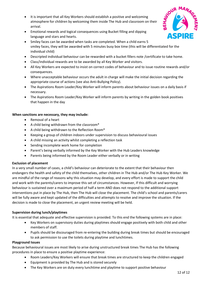- It is important that all Key Workers should establish a positive and welcoming atmosphere for children by welcoming them inside The Hub and classroom on their arrival.
- Emotional rewards and logical consequences using Bucket filling and dipping language and stars and hearts.
- Smiley faces can be awarded when tasks are completed. When a child earns 5 smiley faces, they will be awarded with 5 minutes busy box time (this will be differentiated for the individual child)
- Descripted individual behaviour can be rewarded with a bucket fillers note /certificate to take home.
- Class/individual rewards are to be awarded by all Key Worker and visitors.
- All Key Workers are expected to insist on correct codes of behaviour and to issue routine rewards and/or consequences.
- Where unacceptable behaviour occurs the adult in charge will make the initial decision regarding the appropriate course of actions (see also Anti-Bullying Policy).
- The Aspirations Room Leader/Key Worker will inform parents about behaviour issues on a daily basis if necessary.
- The Aspirations Room Leader/Key Worker will inform parents by writing in the golden book positives that happen in the day

#### **When sanctions are necessary, they may include:**

- Removal of a heart
- A child being withdrawn from the classroom\*
- A child being withdrawn to the Reflection Room\*
- Keeping a group of children indoors under supervision to discuss behavioural issues
- A child missing an activity whilst completing a reflection task
- Sending incomplete work home for completion
- Parent's being verbally informed by the Key Worker with the Hub Leaders knowledge
- Parents being informed by the Room Leader either verbally or in writing

# **Exclusion of placement**

In a very small number of cases, a child's behaviour can deteriorate to the extent that their behaviour then endangers the health and safety of the child themselves, other children in The Hub and/or The Hub Key Worker. We are mindful of the range of reasons why this situation may develop, and every effort is made to support the child and work with the parents/carers to improve this set of circumstances. However, If this difficult and worrying behaviour is sustained over a maximum period of half a term AND does not respond to the additional support interventions put in place by The Hub, then The Hub will close the placement. The child's school and parents/carers will be fully aware and kept updated of the difficulties and attempts to resolve and improve the situation. If the decision is made to close the placement, an urgent review meeting will be held.

# **Supervision during lunch/playtimes**

It is essential that adequate and effective supervision is provided. To this end the following systems are in place:

- Key Workers on supervisory duties during playtimes should engage positively with both child and other members of staff.
- Pupils should be discouraged from re-entering the building during break times but should be encouraged to ask permission to use the toilets during playtime and lunchtimes.

#### **Playground Issues**

Because behavioural issues are most likely to arise during unstructured break times The Hub has the following procedures in place to ensure a positive playtime experience:

- Room Leaders/Key Workers will ensure that break times are structured to keep the children engaged
- Equipment is provided by The Hub and is stored securely
- The Key Workers are on duty every lunchtime and playtime to support positive behaviour